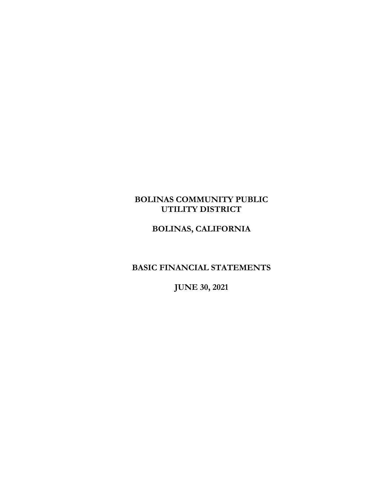# **BOLINAS COMMUNITY PUBLIC UTILITY DISTRICT**

# **BOLINAS, CALIFORNIA**

# **BASIC FINANCIAL STATEMENTS**

**JUNE 30, 2021**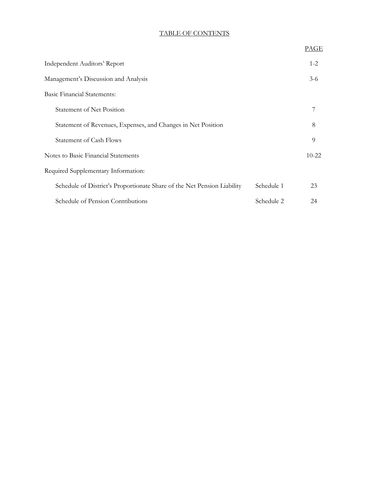# TABLE OF CONTENTS

|                                                                         |            | PAGE      |
|-------------------------------------------------------------------------|------------|-----------|
| Independent Auditors' Report                                            |            | $1 - 2$   |
| Management's Discussion and Analysis                                    |            | $3-6$     |
| <b>Basic Financial Statements:</b>                                      |            |           |
| <b>Statement of Net Position</b>                                        |            | 7         |
| Statement of Revenues, Expenses, and Changes in Net Position            |            | 8         |
| <b>Statement of Cash Flows</b>                                          |            | 9         |
| Notes to Basic Financial Statements                                     |            | $10 - 22$ |
| Required Supplementary Information:                                     |            |           |
| Schedule of District's Proportionate Share of the Net Pension Liability | Schedule 1 | 23        |
| Schedule of Pension Contributions                                       | Schedule 2 | 24        |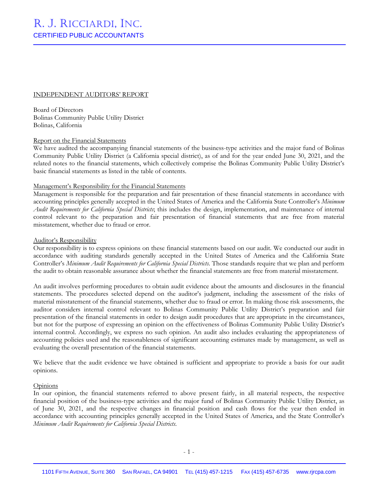#### INDEPENDENT AUDITORS' REPORT

Board of Directors Bolinas Community Public Utility District Bolinas, California

#### Report on the Financial Statements

We have audited the accompanying financial statements of the business-type activities and the major fund of Bolinas Community Public Utility District (a California special district), as of and for the year ended June 30, 2021, and the related notes to the financial statements, which collectively comprise the Bolinas Community Public Utility District's basic financial statements as listed in the table of contents.

### Management's Responsibility for the Financial Statements

Management is responsible for the preparation and fair presentation of these financial statements in accordance with accounting principles generally accepted in the United States of America and the California State Controller's *Minimum Audit Requirements for California Special Districts*; this includes the design, implementation, and maintenance of internal control relevant to the preparation and fair presentation of financial statements that are free from material misstatement, whether due to fraud or error.

#### Auditor's Responsibility

Our responsibility is to express opinions on these financial statements based on our audit. We conducted our audit in accordance with auditing standards generally accepted in the United States of America and the California State Controller's *Minimum Audit Requirements for California Special Districts*. Those standards require that we plan and perform the audit to obtain reasonable assurance about whether the financial statements are free from material misstatement.

An audit involves performing procedures to obtain audit evidence about the amounts and disclosures in the financial statements. The procedures selected depend on the auditor's judgment, including the assessment of the risks of material misstatement of the financial statements, whether due to fraud or error. In making those risk assessments, the auditor considers internal control relevant to Bolinas Community Public Utility District's preparation and fair presentation of the financial statements in order to design audit procedures that are appropriate in the circumstances, but not for the purpose of expressing an opinion on the effectiveness of Bolinas Community Public Utility District's internal control. Accordingly, we express no such opinion. An audit also includes evaluating the appropriateness of accounting policies used and the reasonableness of significant accounting estimates made by management, as well as evaluating the overall presentation of the financial statements.

We believe that the audit evidence we have obtained is sufficient and appropriate to provide a basis for our audit opinions.

#### **Opinions**

In our opinion, the financial statements referred to above present fairly, in all material respects, the respective financial position of the business-type activities and the major fund of Bolinas Community Public Utility District, as of June 30, 2021, and the respective changes in financial position and cash flows for the year then ended in accordance with accounting principles generally accepted in the United States of America, and the State Controller's *Minimum Audit Requirements for California Special Districts*.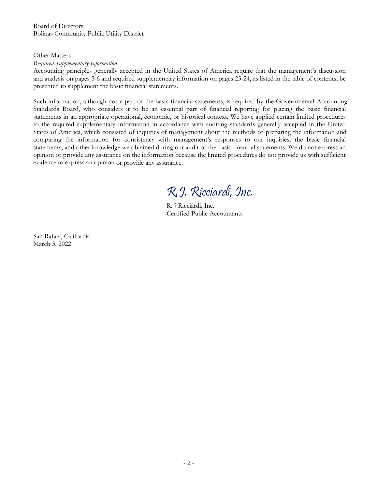Board of Directors Bolinas Community Public Utility District

#### Other Matters

#### *Required Supplementary Information*

Accounting principles generally accepted in the United States of America require that the management's discussion and analysis on pages 3-6 and required supplementary information on pages 23-24, as listed in the table of contents, be presented to supplement the basic financial statements.

Such information, although not a part of the basic financial statements, is required by the Governmental Accounting Standards Board, who considers it to be an essential part of financial reporting for placing the basic financial statements in an appropriate operational, economic, or historical context. We have applied certain limited procedures to the required supplementary information in accordance with auditing standards generally accepted in the United States of America, which consisted of inquiries of management about the methods of preparing the information and comparing the information for consistency with management's responses to our inquiries, the basic financial statements, and other knowledge we obtained during our audit of the basic financial statements. We do not express an opinion or provide any assurance on the information because the limited procedures do not provide us with sufficient evidence to express an opinion or provide any assurance.

R.J. Ricciardi, Inc.

R. J Ricciardi, Inc. Certified Public Accountants

San Rafael, California March 3, 2022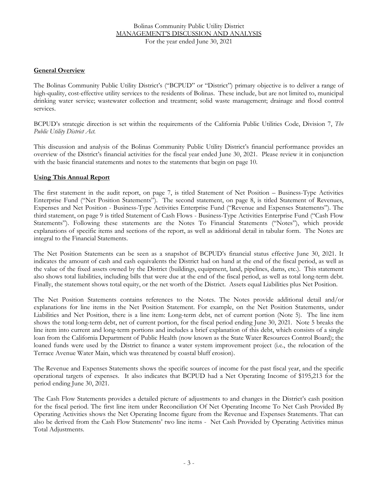## **General Overview**

The Bolinas Community Public Utility District's ("BCPUD" or "District") primary objective is to deliver a range of high-quality, cost-effective utility services to the residents of Bolinas. These include, but are not limited to, municipal drinking water service; wastewater collection and treatment; solid waste management; drainage and flood control services.

BCPUD's strategic direction is set within the requirements of the California Public Utilities Code, Division 7, *The Public Utility District Act.* 

This discussion and analysis of the Bolinas Community Public Utility District's financial performance provides an overview of the District's financial activities for the fiscal year ended June 30, 2021. Please review it in conjunction with the basic financial statements and notes to the statements that begin on page 10.

## **Using This Annual Report**

The first statement in the audit report, on page 7, is titled Statement of Net Position – Business-Type Activities Enterprise Fund ("Net Position Statements"). The second statement, on page 8, is titled Statement of Revenues, Expenses and Net Position - Business-Type Activities Enterprise Fund ("Revenue and Expenses Statements"). The third statement, on page 9 is titled Statement of Cash Flows - Business-Type Activities Enterprise Fund ("Cash Flow Statements"). Following these statements are the Notes To Financial Statements ("Notes"), which provide explanations of specific items and sections of the report, as well as additional detail in tabular form. The Notes are integral to the Financial Statements.

The Net Position Statements can be seen as a snapshot of BCPUD's financial status effective June 30, 2021. It indicates the amount of cash and cash equivalents the District had on hand at the end of the fiscal period, as well as the value of the fixed assets owned by the District (buildings, equipment, land, pipelines, dams, etc.). This statement also shows total liabilities, including bills that were due at the end of the fiscal period, as well as total long-term debt. Finally, the statement shows total equity, or the net worth of the District. Assets equal Liabilities plus Net Position.

The Net Position Statements contains references to the Notes. The Notes provide additional detail and/or explanations for line items in the Net Position Statement. For example, on the Net Position Statements, under Liabilities and Net Position, there is a line item: Long-term debt, net of current portion (Note 5). The line item shows the total long-term debt, net of current portion, for the fiscal period ending June 30, 2021. Note 5 breaks the line item into current and long-term portions and includes a brief explanation of this debt, which consists of a single loan from the California Department of Public Health (now known as the State Water Resources Control Board); the loaned funds were used by the District to finance a water system improvement project (i.e., the relocation of the Terrace Avenue Water Main, which was threatened by coastal bluff erosion).

The Revenue and Expenses Statements shows the specific sources of income for the past fiscal year, and the specific operational targets of expenses. It also indicates that BCPUD had a Net Operating Income of \$195,213 for the period ending June 30, 2021.

The Cash Flow Statements provides a detailed picture of adjustments to and changes in the District's cash position for the fiscal period. The first line item under Reconciliation Of Net Operating Income To Net Cash Provided By Operating Activities shows the Net Operating Income figure from the Revenue and Expenses Statements. That can also be derived from the Cash Flow Statements' two line items - Net Cash Provided by Operating Activities minus Total Adjustments.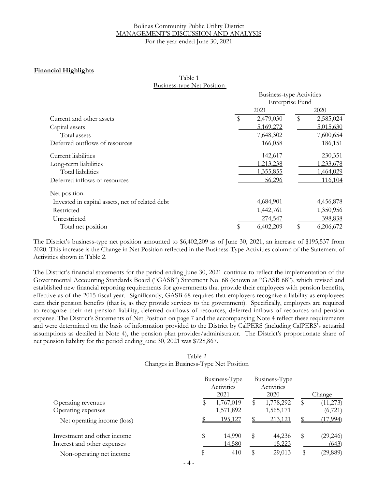#### Bolinas Community Public Utility District MANAGEMENT'S DISCUSSION AND ANALYSIS For the year ended June 30, 2021

## **Financial Highlights**

| Table 1                           |  |
|-----------------------------------|--|
| <b>Business-type Net Position</b> |  |

|                                                 | <b>Business-type Activities</b><br>Enterprise Fund |           |    |           |  |
|-------------------------------------------------|----------------------------------------------------|-----------|----|-----------|--|
|                                                 |                                                    |           |    |           |  |
| Current and other assets                        | 2021                                               |           |    | 2020      |  |
|                                                 | \$                                                 | 2,479,030 | \$ | 2,585,024 |  |
| Capital assets                                  |                                                    | 5,169,272 |    | 5,015,630 |  |
| Total assets                                    |                                                    | 7,648,302 |    | 7,600,654 |  |
| Deferred outflows of resources                  |                                                    | 166,058   |    | 186,151   |  |
| Current liabilities                             |                                                    | 142,617   |    | 230,351   |  |
| Long-term liabilities                           |                                                    | 1,213,238 |    | 1,233,678 |  |
| Total liabilities                               |                                                    | 1,355,855 |    | 1,464,029 |  |
| Deferred inflows of resources                   |                                                    | 56,296    |    | 116,104   |  |
| Net position:                                   |                                                    |           |    |           |  |
| Invested in capital assets, net of related debt |                                                    | 4,684,901 |    | 4,456,878 |  |
| Restricted                                      |                                                    | 1,442,761 |    | 1,350,956 |  |
| Unrestricted                                    |                                                    | 274,547   |    | 398,838   |  |
| Total net position                              |                                                    | 6,402,209 |    | 6,206,672 |  |

The District's business-type net position amounted to \$6,402,209 as of June 30, 2021, an increase of \$195,537 from 2020. This increase is the Change in Net Position reflected in the Business-Type Activities column of the Statement of Activities shown in Table 2.

The District's financial statements for the period ending June 30, 2021 continue to reflect the implementation of the Governmental Accounting Standards Board ("GASB") Statement No. 68 (known as "GASB 68"), which revised and established new financial reporting requirements for governments that provide their employees with pension benefits, effective as of the 2015 fiscal year. Significantly, GASB 68 requires that employers recognize a liability as employees earn their pension benefits (that is, as they provide services to the government). Specifically, employers are required to recognize their net pension liability, deferred outflows of resources, deferred inflows of resources and pension expense. The District's Statements of Net Position on page 7 and the accompanying Note 4 reflect these requirements and were determined on the basis of information provided to the District by CalPERS (including CalPERS's actuarial assumptions as detailed in Note 4), the pension plan provider/administrator. The District's proportionate share of net pension liability for the period ending June 30, 2021 was \$728,867.

## Table 2 Changes in Business-Type Net Position

|                             | Business-Type<br>Activities<br>2021 | Business-Type<br>Activities<br>2020 | Change          |
|-----------------------------|-------------------------------------|-------------------------------------|-----------------|
| Operating revenues          | 1,767,019                           | 1,778,292<br>y                      | (11, 273)<br>S  |
| Operating expenses          | 1,571,892                           | 1,565,171                           | (6, 721)        |
| Net operating income (loss) | <u>195,127</u>                      | 213,121                             | (17,994)        |
| Investment and other income | \$<br>14,990                        | 44,236<br>\$                        | (29, 246)<br>\$ |
| Interest and other expenses | 14,580                              | 15,223                              | (643)           |
| Non-operating net income    | 410                                 | 29,013                              | (29, 889)       |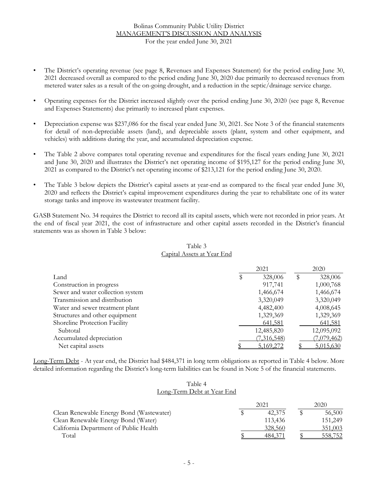- The District's operating revenue (see page 8, Revenues and Expenses Statement) for the period ending June 30, 2021 decreased overall as compared to the period ending June 30, 2020 due primarily to decreased revenues from metered water sales as a result of the on-going drought, and a reduction in the septic/drainage service charge.
- Operating expenses for the District increased slightly over the period ending June 30, 2020 (see page 8, Revenue and Expenses Statements) due primarily to increased plant expenses.
- Depreciation expense was \$237,086 for the fiscal year ended June 30, 2021. See Note 3 of the financial statements for detail of non-depreciable assets (land), and depreciable assets (plant, system and other equipment, and vehicles) with additions during the year, and accumulated depreciation expense.
- The Table 2 above compares total operating revenue and expenditures for the fiscal years ending June 30, 2021 and June 30, 2020 and illustrates the District's net operating income of \$195,127 for the period ending June 30, 2021 as compared to the District's net operating income of \$213,121 for the period ending June 30, 2020.
- The Table 3 below depicts the District's capital assets at year-end as compared to the fiscal year ended June 30, 2020 and reflects the District's capital improvement expenditures during the year to rehabilitate one of its water storage tanks and improve its wastewater treatment facility.

GASB Statement No. 34 requires the District to record all its capital assets, which were not recorded in prior years. At the end of fiscal year 2021, the cost of infrastructure and other capital assets recorded in the District's financial statements was as shown in Table 3 below:

|                                   | 2021       | 2020                       |  |
|-----------------------------------|------------|----------------------------|--|
| Land                              | P          | 328,006<br>328,006<br>P    |  |
| Construction in progress          |            | 1,000,768<br>917,741       |  |
| Sewer and water collection system |            | 1,466,674<br>1,466,674     |  |
| Transmission and distribution     |            | 3,320,049<br>3,320,049     |  |
| Water and sewer treatment plant   |            | 4,008,645<br>4,482,400     |  |
| Structures and other equipment    |            | 1,329,369<br>1,329,369     |  |
| Shoreline Protection Facility     |            | 641,581<br>641,581         |  |
| Subtotal                          | 12,485,820 | 12,095,092                 |  |
| Accumulated depreciation          |            | (7,316,548)<br>(7,079,462) |  |
| Net capital assets                |            | 5,169,272<br>5,015,630     |  |

## Table 3 Capital Assets at Year End

Long-Term Debt - At year end, the District had \$484,371 in long term obligations as reported in Table 4 below. More detailed information regarding the District's long-term liabilities can be found in Note 5 of the financial statements.

#### Table 4 Long-Term Debt at Year End

|                                          |  | 2020    |  |         |
|------------------------------------------|--|---------|--|---------|
| Clean Renewable Energy Bond (Wastewater) |  | 42,375  |  | 56,500  |
| Clean Renewable Energy Bond (Water)      |  | 113.436 |  | 151,249 |
| California Department of Public Health   |  | 328,560 |  | 351,003 |
| Total                                    |  | 484.371 |  | 558,752 |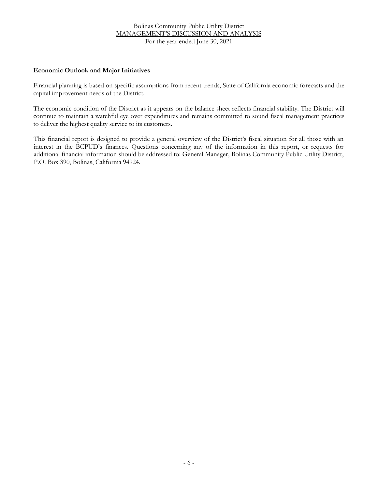## **Economic Outlook and Major Initiatives**

Financial planning is based on specific assumptions from recent trends, State of California economic forecasts and the capital improvement needs of the District.

The economic condition of the District as it appears on the balance sheet reflects financial stability. The District will continue to maintain a watchful eye over expenditures and remains committed to sound fiscal management practices to deliver the highest quality service to its customers.

This financial report is designed to provide a general overview of the District's fiscal situation for all those with an interest in the BCPUD's finances. Questions concerning any of the information in this report, or requests for additional financial information should be addressed to: General Manager, Bolinas Community Public Utility District, P.O. Box 390, Bolinas, California 94924.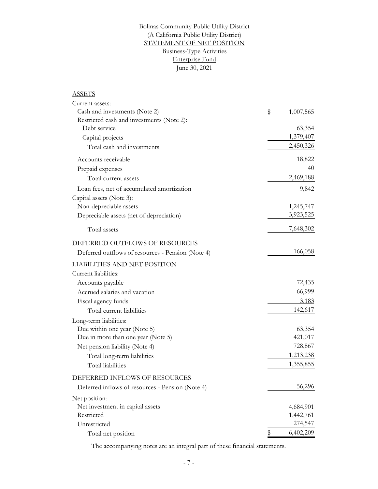## June 30, 2021 Bolinas Community Public Utility District STATEMENT OF NET POSITION Business-Type Activities Enterprise Fund (A California Public Utility District)

# **ASSETS**

| Current assets:                                   |                 |
|---------------------------------------------------|-----------------|
| Cash and investments (Note 2)                     | \$<br>1,007,565 |
| Restricted cash and investments (Note 2):         |                 |
| Debt service                                      | 63,354          |
| Capital projects                                  | 1,379,407       |
| Total cash and investments                        | 2,450,326       |
| Accounts receivable                               | 18,822          |
| Prepaid expenses                                  | 40              |
| Total current assets                              | 2,469,188       |
| Loan fees, net of accumulated amortization        | 9,842           |
| Capital assets (Note 3):                          |                 |
| Non-depreciable assets                            | 1,245,747       |
| Depreciable assets (net of depreciation)          | 3,923,525       |
| Total assets                                      | 7,648,302       |
| DEFERRED OUTFLOWS OF RESOURCES                    |                 |
| Deferred outflows of resources - Pension (Note 4) | 166,058         |
| <b>LIABILITIES AND NET POSITION</b>               |                 |
| Current liabilities:                              |                 |
| Accounts payable                                  | 72,435          |
| Accrued salaries and vacation                     | 66,999          |
| Fiscal agency funds                               | 3,183           |
| Total current liabilities                         | 142,617         |
| Long-term liabilities:                            |                 |
| Due within one year (Note 5)                      | 63,354          |
| Due in more than one year (Note 5)                | 421,017         |
| Net pension liability (Note 4)                    | 728,867         |
| Total long-term liabilities                       | 1,213,238       |
| Total liabilities                                 | 1,355,855       |
| DEFERRED INFLOWS OF RESOURCES                     |                 |
| Deferred inflows of resources - Pension (Note 4)  | 56,296          |
| Net position:                                     |                 |
| Net investment in capital assets                  | 4,684,901       |
| Restricted                                        | 1,442,761       |
| Unrestricted                                      | 274,547         |
| Total net position                                | \$<br>6,402,209 |

The accompanying notes are an integral part of these financial statements.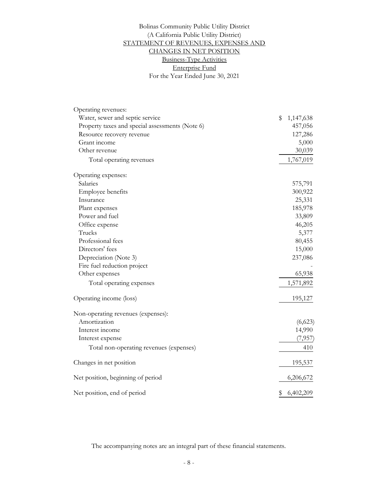Enterprise Fund For the Year Ended June 30, 2021 Bolinas Community Public Utility District (A California Public Utility District) STATEMENT OF REVENUES, EXPENSES AND CHANGES IN NET POSITION Business-Type Activities

| Operating revenues:                             |                 |
|-------------------------------------------------|-----------------|
| Water, sewer and septic service                 | \$<br>1,147,638 |
| Property taxes and special assessments (Note 6) | 457,056         |
| Resource recovery revenue                       | 127,286         |
| Grant income                                    | 5,000           |
| Other revenue                                   | 30,039          |
| Total operating revenues                        | 1,767,019       |
| Operating expenses:                             |                 |
| Salaries                                        | 575,791         |
| Employee benefits                               | 300,922         |
| Insurance                                       | 25,331          |
| Plant expenses                                  | 185,978         |
| Power and fuel                                  | 33,809          |
| Office expense                                  | 46,205          |
| Trucks                                          | 5,377           |
| Professional fees                               | 80,455          |
| Directors' fees                                 | 15,000          |
| Depreciation (Note 3)                           | 237,086         |
| Fire fuel reduction project                     |                 |
| Other expenses                                  | 65,938          |
| Total operating expenses                        | 1,571,892       |
| Operating income (loss)                         | 195,127         |
| Non-operating revenues (expenses):              |                 |
| Amortization                                    | (6,623)         |
| Interest income                                 | 14,990          |
| Interest expense                                | (7,957)         |
| Total non-operating revenues (expenses)         | 410             |
| Changes in net position                         | 195,537         |
| Net position, beginning of period               | 6,206,672       |
| Net position, end of period                     | \$<br>6,402,209 |

The accompanying notes are an integral part of these financial statements.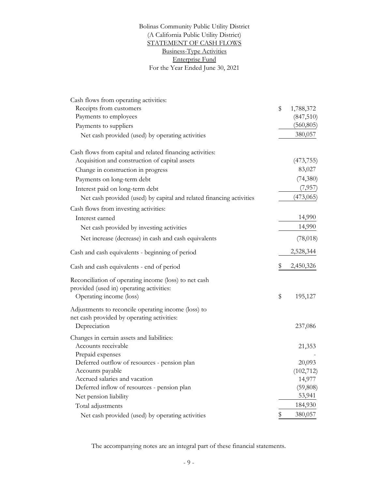## For the Year Ended June 30, 2021 Business-Type Activities Bolinas Community Public Utility District STATEMENT OF CASH FLOWS (A California Public Utility District) Enterprise Fund

| Cash flows from operating activities:                                |                 |
|----------------------------------------------------------------------|-----------------|
| Receipts from customers                                              | \$<br>1,788,372 |
| Payments to employees                                                | (847,510)       |
| Payments to suppliers                                                | (560, 805)      |
| Net cash provided (used) by operating activities                     | 380,057         |
| Cash flows from capital and related financing activities:            |                 |
| Acquisition and construction of capital assets                       | (473, 755)      |
| Change in construction in progress                                   | 83,027          |
| Payments on long-term debt                                           | (74,380)        |
| Interest paid on long-term debt                                      | (7,957)         |
| Net cash provided (used) by capital and related financing activities | (473,065)       |
| Cash flows from investing activities:                                |                 |
| Interest earned                                                      | 14,990          |
| Net cash provided by investing activities                            | 14,990          |
| Net increase (decrease) in cash and cash equivalents                 | (78, 018)       |
| Cash and cash equivalents - beginning of period                      | 2,528,344       |
| Cash and cash equivalents - end of period                            | \$<br>2,450,326 |
| Reconciliation of operating income (loss) to net cash                |                 |
| provided (used in) operating activities:                             |                 |
| Operating income (loss)                                              | \$<br>195,127   |
| Adjustments to reconcile operating income (loss) to                  |                 |
| net cash provided by operating activities:                           |                 |
| Depreciation                                                         | 237,086         |
| Changes in certain assets and liabilities:                           |                 |
| Accounts receivable                                                  | 21,353          |
| Prepaid expenses                                                     |                 |
| Deferred outflow of resources - pension plan                         | 20,093          |
| Accounts payable                                                     | (102, 712)      |
| Accrued salaries and vacation                                        | 14,977          |
| Deferred inflow of resources - pension plan                          | (59, 808)       |
| Net pension liability                                                | 53,941          |
| Total adjustments                                                    | 184,930         |
| Net cash provided (used) by operating activities                     | \$<br>380,057   |

The accompanying notes are an integral part of these financial statements.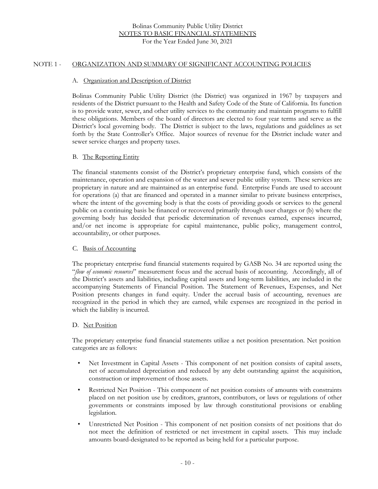## NOTE 1 - ORGANIZATION AND SUMMARY OF SIGNIFICANT ACCOUNTING POLICIES

#### A. Organization and Description of District

Bolinas Community Public Utility District (the District) was organized in 1967 by taxpayers and residents of the District pursuant to the Health and Safety Code of the State of California. Its function is to provide water, sewer, and other utility services to the community and maintain programs to fulfill these obligations. Members of the board of directors are elected to four year terms and serve as the District's local governing body. The District is subject to the laws, regulations and guidelines as set forth by the State Controller's Office. Major sources of revenue for the District include water and sewer service charges and property taxes.

#### B. The Reporting Entity

The financial statements consist of the District's proprietary enterprise fund, which consists of the maintenance, operation and expansion of the water and sewer public utility system. These services are proprietary in nature and are maintained as an enterprise fund. Enterprise Funds are used to account for operations (a) that are financed and operated in a manner similar to private business enterprises, where the intent of the governing body is that the costs of providing goods or services to the general public on a continuing basis be financed or recovered primarily through user charges or (b) where the governing body has decided that periodic determination of revenues earned, expenses incurred, and/or net income is appropriate for capital maintenance, public policy, management control, accountability, or other purposes.

#### C. Basis of Accounting

The proprietary enterprise fund financial statements required by GASB No. 34 are reported using the "*flow of economic resources*" measurement focus and the accrual basis of accounting. Accordingly, all of the District's assets and liabilities, including capital assets and long-term liabilities, are included in the accompanying Statements of Financial Position. The Statement of Revenues, Expenses, and Net Position presents changes in fund equity. Under the accrual basis of accounting, revenues are recognized in the period in which they are earned, while expenses are recognized in the period in which the liability is incurred.

#### D. Net Position

The proprietary enterprise fund financial statements utilize a net position presentation. Net position categories are as follows:

- Net Investment in Capital Assets This component of net position consists of capital assets, net of accumulated depreciation and reduced by any debt outstanding against the acquisition, construction or improvement of those assets.
- Restricted Net Position This component of net position consists of amounts with constraints placed on net position use by creditors, grantors, contributors, or laws or regulations of other governments or constraints imposed by law through constitutional provisions or enabling legislation.
- Unrestricted Net Position This component of net position consists of net positions that do not meet the definition of restricted or net investment in capital assets. This may include amounts board-designated to be reported as being held for a particular purpose.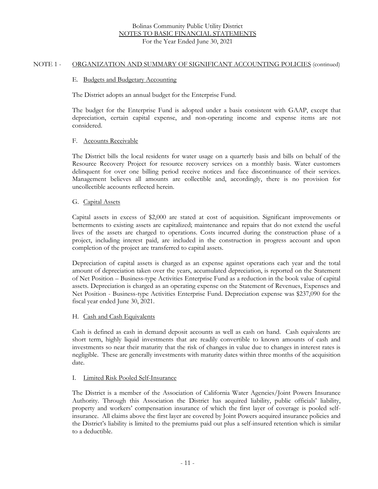#### NOTE 1 - ORGANIZATION AND SUMMARY OF SIGNIFICANT ACCOUNTING POLICIES (continued)

#### E. Budgets and Budgetary Accounting

The District adopts an annual budget for the Enterprise Fund.

The budget for the Enterprise Fund is adopted under a basis consistent with GAAP, except that depreciation, certain capital expense, and non-operating income and expense items are not considered.

## F. Accounts Receivable

The District bills the local residents for water usage on a quarterly basis and bills on behalf of the Resource Recovery Project for resource recovery services on a monthly basis. Water customers delinquent for over one billing period receive notices and face discontinuance of their services. Management believes all amounts are collectible and, accordingly, there is no provision for uncollectible accounts reflected herein.

## G. Capital Assets

Capital assets in excess of \$2,000 are stated at cost of acquisition. Significant improvements or betterments to existing assets are capitalized; maintenance and repairs that do not extend the useful lives of the assets are charged to operations. Costs incurred during the construction phase of a project, including interest paid, are included in the construction in progress account and upon completion of the project are transferred to capital assets.

Depreciation of capital assets is charged as an expense against operations each year and the total amount of depreciation taken over the years, accumulated depreciation, is reported on the Statement of Net Position – Business-type Activities Enterprise Fund as a reduction in the book value of capital assets. Depreciation is charged as an operating expense on the Statement of Revenues, Expenses and Net Position - Business-type Activities Enterprise Fund. Depreciation expense was \$237,090 for the fiscal year ended June 30, 2021.

## H. Cash and Cash Equivalents

Cash is defined as cash in demand deposit accounts as well as cash on hand. Cash equivalents are short term, highly liquid investments that are readily convertible to known amounts of cash and investments so near their maturity that the risk of changes in value due to changes in interest rates is negligible. These are generally investments with maturity dates within three months of the acquisition date.

## I. Limited Risk Pooled Self-Insurance

The District is a member of the Association of California Water Agencies/Joint Powers Insurance Authority. Through this Association the District has acquired liability, public officials' liability, property and workers' compensation insurance of which the first layer of coverage is pooled selfinsurance. All claims above the first layer are covered by Joint Powers acquired insurance policies and the District's liability is limited to the premiums paid out plus a self-insured retention which is similar to a deductible.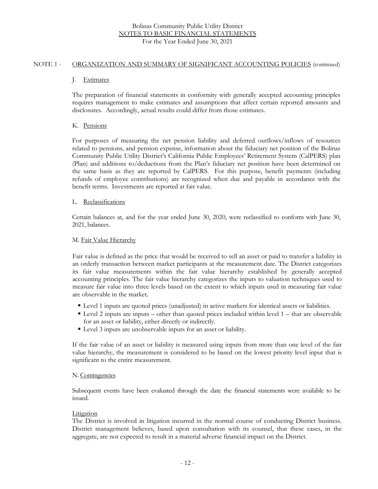#### NOTE 1 - ORGANIZATION AND SUMMARY OF SIGNIFICANT ACCOUNTING POLICIES (continued)

## J. Estimates

The preparation of financial statements in conformity with generally accepted accounting principles requires management to make estimates and assumptions that affect certain reported amounts and disclosures. Accordingly, actual results could differ from those estimates.

## K. Pensions

For purposes of measuring the net pension liability and deferred outflows/inflows of resources related to pensions, and pension expense, information about the fiduciary net position of the Bolinas Community Public Utility District's California Public Employees' Retirement System (CalPERS) plan (Plan) and additions to/deductions from the Plan's fiduciary net position have been determined on the same basis as they are reported by CalPERS. For this purpose, benefit payments (including refunds of employee contributions) are recognized when due and payable in accordance with the benefit terms. Investments are reported at fair value.

#### L. Reclassifications

Certain balances at, and for the year ended June 30, 2020, were reclassified to conform with June 30, 2021, balances.

#### M*.* Fair Value Hierarchy

Fair value is defined as the price that would be received to sell an asset or paid to transfer a liability in an orderly transaction between market participants at the measurement date. The District categorizes its fair value measurements within the fair value hierarchy established by generally accepted accounting principles. The fair value hierarchy categorizes the inputs to valuation techniques used to measure fair value into three levels based on the extent to which inputs used in measuring fair value are observable in the market.

- Level 1 inputs are quoted prices (unadjusted) in active markets for identical assets or liabilities.
- Level 2 inputs are inputs other than quoted prices included within level 1 that are observable for an asset or liability, either directly or indirectly.
- Level 3 inputs are unobservable inputs for an asset or liability.

If the fair value of an asset or liability is measured using inputs from more than one level of the fair value hierarchy, the measurement is considered to be based on the lowest priority level input that is significant to the entire measurement.

## N. Contingencies

Subsequent events have been evaluated through the date the financial statements were available to be issued.

## Litigation

The District is involved in litigation incurred in the normal course of conducting District business. District management believes, based upon consultation with its counsel, that these cases, in the aggregate, are not expected to result in a material adverse financial impact on the District.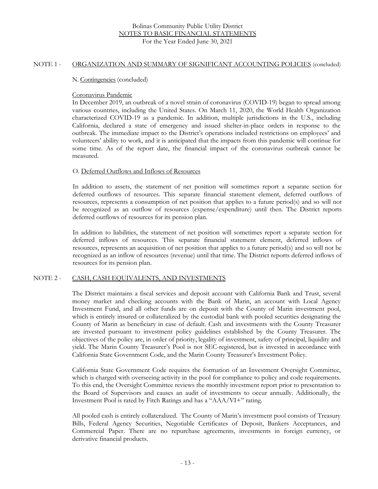#### NOTE 1 - ORGANIZATION AND SUMMARY OF SIGNIFICANT ACCOUNTING POLICIES (concluded)

N. Contingencies (concluded)

#### Coronavirus Pandemic

In December 2019, an outbreak of a novel strain of coronavirus (COVID-19) began to spread among various countries, including the United States. On March 11, 2020, the World Health Organization characterized COVID-19 as a pandemic. In addition, multiple jurisdictions in the U.S., including California, declared a state of emergency and issued shelter-in-place orders in response to the outbreak. The immediate impact to the District's operations included restrictions on employees' and volunteers' ability to work, and it is anticipated that the impacts from this pandemic will continue for some time. As of the report date, the financial impact of the coronavirus outbreak cannot be measured.

## O. Deferred Outflows and Inflows of Resources

In addition to assets, the statement of net position will sometimes report a separate section for deferred outflows of resources. This separate financial statement element, deferred outflows of resources, represents a consumption of net position that applies to a future period(s) and so will not be recognized as an outflow of resources (expense/expenditure) until then. The District reports deferred outflows of resources for its pension plan.

In addition to liabilities, the statement of net position will sometimes report a separate section for deferred inflows of resources. This separate financial statement element, deferred inflows of resources, represents an acquisition of net position that applies to a future period(s) and so will not be recognized as an inflow of resources (revenue) until that time. The District reports deferred inflows of resources for its pension plan.

## NOTE 2 - CASH, CASH EQUIVALENTS, AND INVESTMENTS

The District maintains a fiscal services and deposit account with California Bank and Trust, several money market and checking accounts with the Bank of Marin, an account with Local Agency Investment Fund, and all other funds are on deposit with the County of Marin investment pool, which is entirely insured or collateralized by the custodial bank with pooled securities designating the County of Marin as beneficiary in case of default. Cash and investments with the County Treasurer are invested pursuant to investment policy guidelines established by the County Treasurer. The objectives of the policy are, in order of priority, legality of investment, safety of principal, liquidity and yield. The Marin County Treasurer's Pool is not SEC-registered, but is invested in accordance with California State Government Code, and the Marin County Treasurer's Investment Policy.

California State Government Code requires the formation of an Investment Oversight Committee, which is charged with overseeing activity in the pool for compliance to policy and code requirements. To this end, the Oversight Committee reviews the monthly investment report prior to presentation to the Board of Supervisors and causes an audit of investments to occur annually. Additionally, the Investment Pool is rated by Fitch Ratings and has a "AAA/VI+" rating.

All pooled cash is entirely collateralized. The County of Marin's investment pool consists of Treasury Bills, Federal Agency Securities, Negotiable Certificates of Deposit, Bankers Acceptances, and Commercial Paper. There are no repurchase agreements, investments in foreign currency, or derivative financial products.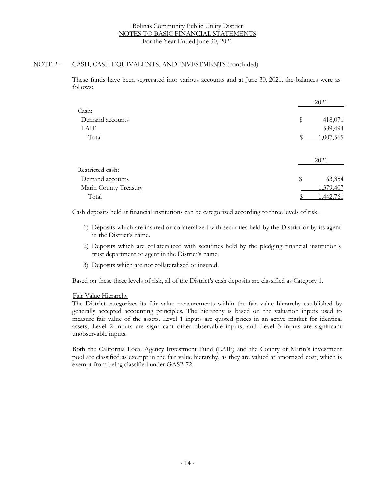### NOTE 2 - CASH, CASH EQUIVALENTS, AND INVESTMENTS (concluded)

These funds have been segregated into various accounts and at June 30, 2021, the balances were as follows:

|                       | 2021          |
|-----------------------|---------------|
| Cash:                 |               |
| Demand accounts       | \$<br>418,071 |
| LAIF                  | 589,494       |
| Total                 | 1,007,565     |
|                       | 2021          |
| Restricted cash:      |               |
| Demand accounts       | \$<br>63,354  |
| Marin County Treasury | 1,379,407     |
| Total                 | .442,761      |

Cash deposits held at financial institutions can be categorized according to three levels of risk:

- 1) Deposits which are insured or collateralized with securities held by the District or by its agent in the District's name.
- 2) Deposits which are collateralized with securities held by the pledging financial institution's trust department or agent in the District's name.
- 3) Deposits which are not collateralized or insured.

Based on these three levels of risk, all of the District's cash deposits are classified as Category 1.

#### Fair Value Hierarchy

The District categorizes its fair value measurements within the fair value hierarchy established by generally accepted accounting principles. The hierarchy is based on the valuation inputs used to measure fair value of the assets. Level 1 inputs are quoted prices in an active market for identical assets; Level 2 inputs are significant other observable inputs; and Level 3 inputs are significant unobservable inputs.

Both the California Local Agency Investment Fund (LAIF) and the County of Marin's investment pool are classified as exempt in the fair value hierarchy, as they are valued at amortized cost, which is exempt from being classified under GASB 72.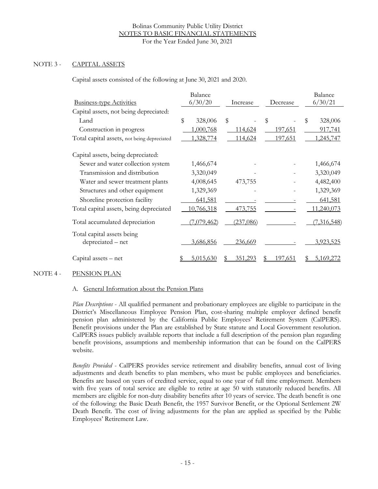## NOTE 3 - CAPITAL ASSETS

Capital assets consisted of the following at June 30, 2021 and 2020.

| <b>Business-type Activities</b>                 | Balance<br>6/30/20 | Increase        | Decrease | Balance<br>6/30/21 |
|-------------------------------------------------|--------------------|-----------------|----------|--------------------|
| Capital assets, not being depreciated:          |                    |                 |          |                    |
| Land                                            | \$<br>328,006      | \$              | \$       | \$<br>328,006      |
| Construction in progress                        | 1,000,768          | 114,624         | 197,651  | 917,741            |
| Total capital assets, not being depreciated     | 1,328,774          | 114,624         | 197,651  | 1,245,747          |
| Capital assets, being depreciated:              |                    |                 |          |                    |
| Sewer and water collection system               | 1,466,674          |                 |          | 1,466,674          |
| Transmission and distribution                   | 3,320,049          |                 |          | 3,320,049          |
| Water and sewer treatment plants                | 4,008,645          | 473,755         |          | 4,482,400          |
| Structures and other equipment                  | 1,329,369          |                 |          | 1,329,369          |
| Shoreline protection facility                   | 641,581            |                 |          | 641,581            |
| Total capital assets, being depreciated         | 10,766,318         | 473,755         |          | 11,240,073         |
| Total accumulated depreciation                  | (7,079,462)        | (237,086)       |          | (7,316,548)        |
| Total capital assets being<br>depreciated - net | 3,686,856          | 236,669         |          | 3,923,525          |
| Capital assets - net                            | 5.015.630          | 35 <u>1,293</u> | 97,651   | 5,169,272          |

## NOTE 4 - PENSION PLAN

## A. General Information about the Pension Plans

*Plan Descriptions* - All qualified permanent and probationary employees are eligible to participate in the District's Miscellaneous Employee Pension Plan, cost-sharing multiple employer defined benefit pension plan administered by the California Public Employees' Retirement System (CalPERS). Benefit provisions under the Plan are established by State statute and Local Government resolution. CalPERS issues publicly available reports that include a full description of the pension plan regarding benefit provisions, assumptions and membership information that can be found on the CalPERS website.

*Benefits Provided* - CalPERS provides service retirement and disability benefits, annual cost of living adjustments and death benefits to plan members, who must be public employees and beneficiaries. Benefits are based on years of credited service, equal to one year of full time employment. Members with five years of total service are eligible to retire at age 50 with statutorily reduced benefits. All members are eligible for non-duty disability benefits after 10 years of service. The death benefit is one of the following: the Basic Death Benefit, the 1957 Survivor Benefit, or the Optional Settlement 2W Death Benefit. The cost of living adjustments for the plan are applied as specified by the Public Employees' Retirement Law.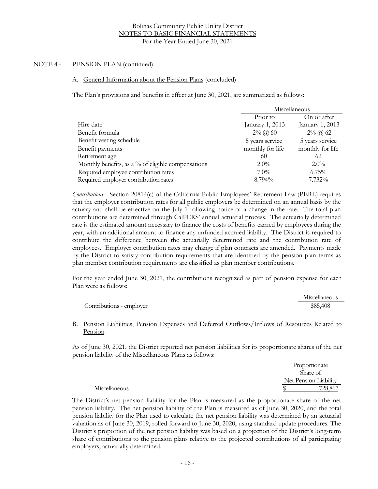#### A. General Information about the Pension Plans (concluded)

The Plan's provisions and benefits in effect at June 30, 2021, are summarized as follows:

|                                                    |                       | Miscellaneous    |  |  |
|----------------------------------------------------|-----------------------|------------------|--|--|
|                                                    | Prior to              | On or after      |  |  |
| Hire date                                          | January 1, 2013       | January 1, 2013  |  |  |
| Benefit formula                                    | $2\%$ ( <i>a</i> ) 60 | $2\%$ (a) 62     |  |  |
| Benefit vesting schedule                           | 5 years service       | 5 years service  |  |  |
| Benefit payments                                   | monthly for life      | monthly for life |  |  |
| Retirement age                                     | 60                    | 62               |  |  |
| Monthly benefits, as a % of eligible compensations | $2.0\%$               | $2.0\%$          |  |  |
| Required employee contribution rates               | $7.0\%$               | $6.75\%$         |  |  |
| Required employer contribution rates               | 8.794%                | 7.732%           |  |  |

*Contributions* - Section 20814(c) of the California Public Employees' Retirement Law (PERL) requires that the employer contribution rates for all public employers be determined on an annual basis by the actuary and shall be effective on the July 1 following notice of a change in the rate. The total plan contributions are determined through CalPERS' annual actuarial process. The actuarially determined rate is the estimated amount necessary to finance the costs of benefits earned by employees during the year, with an additional amount to finance any unfunded accrued liability. The District is required to contribute the difference between the actuarially determined rate and the contribution rate of employees. Employer contribution rates may change if plan contracts are amended. Payments made by the District to satisfy contribution requirements that are identified by the pension plan terms as plan member contribution requirements are classified as plan member contributions.

For the year ended June 30, 2021, the contributions recognized as part of pension expense for each Plan were as follows:

|                          | Miscellaneous |
|--------------------------|---------------|
| Contributions - employer | \$85,408      |

## B. Pension Liabilities, Pension Expenses and Deferred Outflows/Inflows of Resources Related to Pension

As of June 30, 2021, the District reported net pension liabilities for its proportionate shares of the net pension liability of the Miscellaneous Plans as follows:

|               | Proportionate         |
|---------------|-----------------------|
|               | Share of              |
|               | Net Pension Liability |
| Miscellaneous | 728,867               |

The District's net pension liability for the Plan is measured as the proportionate share of the net pension liability. The net pension liability of the Plan is measured as of June 30, 2020, and the total pension liability for the Plan used to calculate the net pension liability was determined by an actuarial valuation as of June 30, 2019, rolled forward to June 30, 2020, using standard update procedures. The District's proportion of the net pension liability was based on a projection of the District's long-term share of contributions to the pension plans relative to the projected contributions of all participating employers, actuarially determined.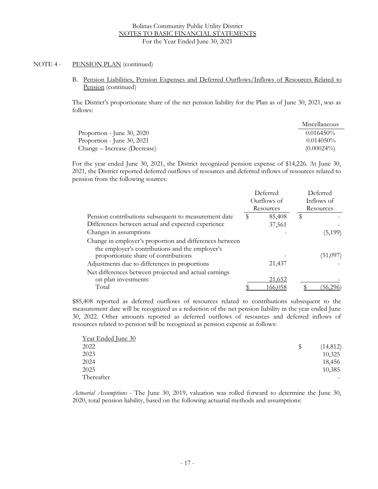B. Pension Liabilities, Pension Expenses and Deferred Outflows/Inflows of Resources Related to Pension (continued)

The District's proportionate share of the net pension liability for the Plan as of June 30, 2021, was as follows:

|                              | Miscellaneous |
|------------------------------|---------------|
| Proportion - June 30, 2020   | $0.016450\%$  |
| Proportion - June 30, 2021   | $0.014050\%$  |
| Change – Increase (Decrease) | $(0.00024\%)$ |

For the year ended June 30, 2021, the District recognized pension expense of \$14,226. At June 30, 2021, the District reported deferred outflows of resources and deferred inflows of resources related to pension from the following sources:

|                                                                                                            |             | Deferred  |            | Deferred  |
|------------------------------------------------------------------------------------------------------------|-------------|-----------|------------|-----------|
|                                                                                                            | Outflows of |           | Inflows of |           |
|                                                                                                            |             | Resources |            | Resources |
| Pension contributions subsequent to measurement date                                                       | \$          | 85,408    | \$         |           |
| Differences between actual and expected experience                                                         |             | 37,561    |            |           |
| Changes in assumptions                                                                                     |             |           |            | (5,199)   |
| Change in employer's proportion and differences between<br>the employer's contributions and the employer's |             |           |            |           |
| proportionate share of contributions                                                                       |             |           |            | (51,097)  |
| Adjustments due to differences in proportions                                                              |             | 21,437    |            |           |
| Net differences between projected and actual earnings                                                      |             |           |            |           |
| on plan investments                                                                                        |             | 21,652    |            |           |
| Total                                                                                                      |             | 166.058   |            |           |

\$85,408 reported as deferred outflows of resources related to contributions subsequent to the measurement date will be recognized as a reduction of the net pension liability in the year ended June 30, 2022. Other amounts reported as deferred outflows of resources and deferred inflows of resources related to pension will be recognized as pension expense as follows:

| Year Ended June 30 |                |
|--------------------|----------------|
| 2022               | (14, 812)<br>S |
| 2023               | 10,325         |
| 2024               | 18,456         |
| 2025               | 10,385         |
| Thereafter         |                |

*Actuarial Assumptions* - The June 30, 2019, valuation was rolled forward to determine the June 30, 2020, total pension liability, based on the following actuarial methods and assumptions: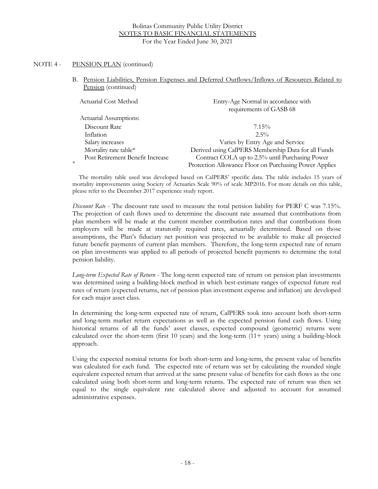\*

B. Pension Liabilities, Pension Expenses and Deferred Outflows/Inflows of Resources Related to Pension (continued)

| Actuarial Cost Method            | Entry-Age Normal in accordance with<br>requirements of GASB 68 |
|----------------------------------|----------------------------------------------------------------|
| Actuarial Assumptions:           |                                                                |
| Discount Rate                    | $7.15\%$                                                       |
| Inflation                        | $2.5\%$                                                        |
| Salary increases                 | Varies by Entry Age and Service                                |
| Mortality rate table*            | Derived using CalPERS Membership Data for all Funds            |
| Post Retirement Benefit Increase | Contract COLA up to 2.5% until Purchasing Power                |
|                                  | Protection Allowance Floor on Purchasing Power Applies         |

The mortality table used was developed based on CalPERS' specific data. The table includes 15 years of mortality improvements using Society of Actuaries Scale 90% of scale MP2016. For more details on this table, please refer to the December 2017 experience study report.

*Discount Rate* - The discount rate used to measure the total pension liability for PERF C was 7.15%. The projection of cash flows used to determine the discount rate assumed that contributions from plan members will be made at the current member contribution rates and that contributions from employers will be made at statutorily required rates, actuarially determined. Based on those assumptions, the Plan's fiduciary net position was projected to be available to make all projected future benefit payments of current plan members. Therefore, the long-term expected rate of return on plan investments was applied to all periods of projected benefit payments to determine the total pension liability.

*Long-term Expected Rate of Return -* The long-term expected rate of return on pension plan investments was determined using a building-block method in which best-estimate ranges of expected future real rates of return (expected returns, net of pension plan investment expense and inflation) are developed for each major asset class.

In determining the long-term expected rate of return, CalPERS took into account both short-term and long-term market return expectations as well as the expected pension fund cash flows. Using historical returns of all the funds' asset classes, expected compound (geometric) returns were calculated over the short-term (first 10 years) and the long-term  $(11 + \text{years})$  using a building-block approach.

Using the expected nominal returns for both short-term and long-term, the present value of benefits was calculated for each fund. The expected rate of return was set by calculating the rounded single equivalent expected return that arrived at the same present value of benefits for cash flows as the one calculated using both short-term and long-term returns. The expected rate of return was then set equal to the single equivalent rate calculated above and adjusted to account for assumed administrative expenses.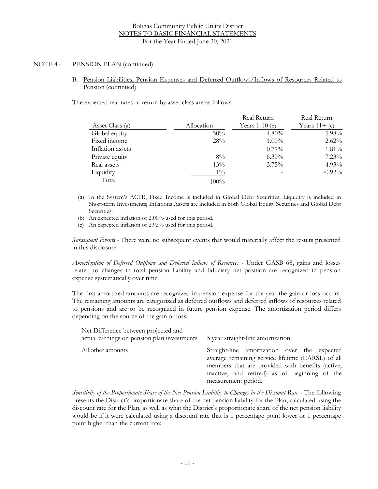B. Pension Liabilities, Pension Expenses and Deferred Outflows/Inflows of Resources Related to Pension (continued)

The expected real rates of return by asset class are as follows:

|                  |            | Real Return      | Real Return     |
|------------------|------------|------------------|-----------------|
| Asset Class (a)  | Allocation | Years 1-10 $(b)$ | Years $11+$ (c) |
| Global equity    | $50\%$     | $4.80\%$         | 5.98%           |
| Fixed income     | 28%        | $1.00\%$         | 2.62%           |
| Inflation assets |            | $0.77\%$         | 1.81%           |
| Private equity   | $8\%$      | $6.30\%$         | $7.23\%$        |
| Real assets      | $13\%$     | 3.75%            | $4.93\%$        |
| Liquidity        | $1\%$      |                  | $-0.92%$        |
| Total            | $100\%$    |                  |                 |

- (a) In the System's ACFR, Fixed Income is included in Global Debt Securities; Liquidity is included in Short-term Investments; Inflations Assets are included in both Global Equity Securities and Global Debt Securities.
- (b) An expected inflation of 2.00% used for this period.
- (c) An expected inflation of 2.92% used for this period.

*Subsequent Events -* There were no subsequent events that would materially affect the results presented in this disclosure.

*Amortization of Deferred Outflows and Deferred Inflows of Resources -* Under GASB 68, gains and losses related to changes in total pension liability and fiduciary net position are recognized in pension expense systematically over time.

The first amortized amounts are recognized in pension expense for the year the gain or loss occurs. The remaining amounts are categorized as deferred outflows and deferred inflows of resources related to pensions and are to be recognized in future pension expense. The amortization period differs depending on the source of the gain or loss:

| Net Difference between projected and<br>actual earnings on pension plan investments | 5 year straight-line amortization                                                                                                                                                                                             |
|-------------------------------------------------------------------------------------|-------------------------------------------------------------------------------------------------------------------------------------------------------------------------------------------------------------------------------|
| All other amounts                                                                   | Straight-line amortization over the expected<br>average remaining service lifetime (EARSL) of all<br>members that are provided with benefits (active,<br>inactive, and retired) as of beginning of the<br>measurement period. |

*Sensitivity of the Proportionate Share of the Net Pension Liability to Changes in the Discount Rate* - The following presents the District's proportionate share of the net pension liability for the Plan, calculated using the discount rate for the Plan, as well as what the District's proportionate share of the net pension liability would be if it were calculated using a discount rate that is 1 percentage point lower or 1 percentage point higher than the current rate: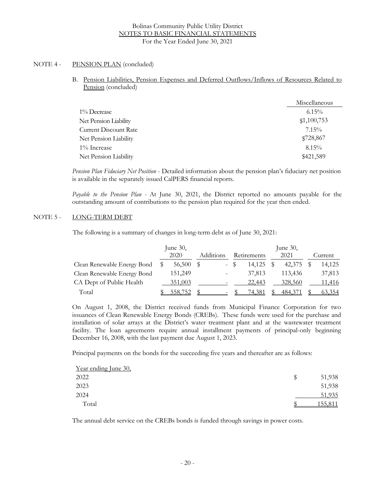B. Pension Liabilities, Pension Expenses and Deferred Outflows/Inflows of Resources Related to Pension (concluded)

|                              | Miscellaneous |
|------------------------------|---------------|
| 1% Decrease                  | $6.15\%$      |
| Net Pension Liability        | \$1,100,753   |
| <b>Current Discount Rate</b> | $7.15\%$      |
| Net Pension Liability        | \$728,867     |
| 1% Increase                  | $8.15\%$      |
| Net Pension Liability        | \$421,589     |

*Pension Plan Fiduciary Net Position* - Detailed information about the pension plan's fiduciary net position is available in the separately issued CalPERS financial reports.

*Payable to the Pension Plan -* At June 30, 2021, the District reported no amounts payable for the outstanding amount of contributions to the pension plan required for the year then ended.

## NOTE 5 - LONG-TERM DEBT

The following is a summary of changes in long-term debt as of June 30, 2021:

|                             | June $30$ ,<br>2020 | Additions |        | Retirements | June 30,<br>2021 | Current |
|-----------------------------|---------------------|-----------|--------|-------------|------------------|---------|
| Clean Renewable Energy Bond | 56,500              |           | $-$ \$ | 14.125      | 42,375 \$        | 14,125  |
| Clean Renewable Energy Bond | 151,249             |           |        | 37,813      | 113,436          | 37,813  |
| CA Dept of Public Health    | <u>351,003</u>      |           |        | 22,443      | 328,560          | 11,416  |
| Total                       | 558,752             |           |        | 74,381      | 484,371          | 63,354  |

On August 1, 2008, the District received funds from Municipal Finance Corporation for two issuances of Clean Renewable Energy Bonds (CREBs). These funds were used for the purchase and installation of solar arrays at the District's water treatment plant and at the wastewater treatment facility. The loan agreements require annual installment payments of principal-only beginning December 16, 2008, with the last payment due August 1, 2023.

Principal payments on the bonds for the succeeding five years and thereafter are as follows:

| <u>Year ending June 30,</u> |         |
|-----------------------------|---------|
| 2022                        | 51,938  |
| 2023                        | 51,938  |
| 2024                        | 51,935  |
| Total                       | 155,811 |

The annual debt service on the CREBs bonds is funded through savings in power costs.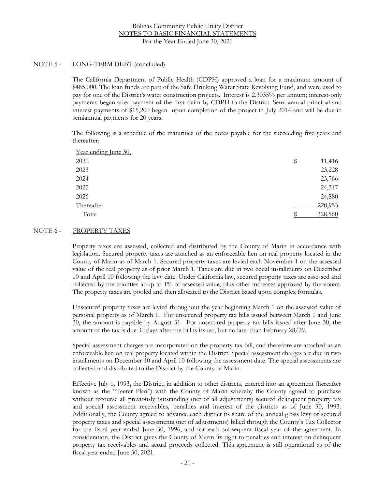## NOTE 5 - LONG-TERM DEBT (concluded)

The California Department of Public Health (CDPH) approved a loan for a maximum amount of \$485,000. The loan funds are part of the Safe Drinking Water State Revolving Fund, and were used to pay for one of the District's water construction projects. Interest is 2.3035% per annum; interest-only payments began after payment of the first claim by CDPH to the District. Semi-annual principal and interest payments of \$15,200 began upon completion of the project in July 2014 and will be due in semiannual payments for 20 years.

The following is a schedule of the maturities of the notes payable for the succeeding five years and thereafter:

| \$<br>11,416 |
|--------------|
| 23,228       |
| 23,766       |
| 24,317       |
| 24,880       |
| 220,953      |
| 328,560      |
|              |

## NOTE 6 - PROPERTY TAXES

Property taxes are assessed, collected and distributed by the County of Marin in accordance with legislation. Secured property taxes are attached as an enforceable lien on real property located in the County of Marin as of March 1. Secured property taxes are levied each November 1 on the assessed value of the real property as of prior March 1. Taxes are due in two equal installments on December 10 and April 10 following the levy date. Under California law, secured property taxes are assessed and collected by the counties at up to 1% of assessed value, plus other increases approved by the voters. The property taxes are pooled and then allocated to the District based upon complex formulas.

Unsecured property taxes are levied throughout the year beginning March 1 on the assessed value of personal property as of March 1. For unsecured property tax bills issued between March 1 and June 30, the amount is payable by August 31. For unsecured property tax bills issued after June 30, the amount of the tax is due 30 days after the bill is issued, but no later than February 28/29.

Special assessment charges are incorporated on the property tax bill, and therefore are attached as an enforceable lien on real property located within the District. Special assessment charges are due in two installments on December 10 and April 10 following the assessment date. The special assessments are collected and distributed to the District by the County of Marin.

Effective July 1, 1993, the District, in addition to other districts, entered into an agreement (hereafter known as the "Teeter Plan") with the County of Marin whereby the County agreed to purchase without recourse all previously outstanding (net of all adjustments) secured delinquent property tax and special assessment receivables, penalties and interest of the districts as of June 30, 1993. Additionally, the County agreed to advance each district its share of the annual gross levy of secured property taxes and special assessments (net of adjustments) billed through the County's Tax Collector for the fiscal year ended June 30, 1996, and for each subsequent fiscal year of the agreement. In consideration, the District gives the County of Marin its right to penalties and interest on delinquent property tax receivables and actual proceeds collected. This agreement is still operational as of the fiscal year ended June 30, 2021.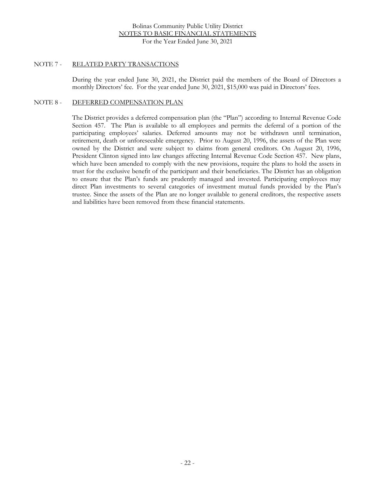#### NOTE 7 - RELATED PARTY TRANSACTIONS

During the year ended June 30, 2021, the District paid the members of the Board of Directors a monthly Directors' fee. For the year ended June 30, 2021, \$15,000 was paid in Directors' fees.

## NOTE 8 - DEFERRED COMPENSATION PLAN

The District provides a deferred compensation plan (the "Plan") according to Internal Revenue Code Section 457. The Plan is available to all employees and permits the deferral of a portion of the participating employees' salaries. Deferred amounts may not be withdrawn until termination, retirement, death or unforeseeable emergency. Prior to August 20, 1996, the assets of the Plan were owned by the District and were subject to claims from general creditors. On August 20, 1996, President Clinton signed into law changes affecting Internal Revenue Code Section 457. New plans, which have been amended to comply with the new provisions, require the plans to hold the assets in trust for the exclusive benefit of the participant and their beneficiaries. The District has an obligation to ensure that the Plan's funds are prudently managed and invested. Participating employees may direct Plan investments to several categories of investment mutual funds provided by the Plan's trustee. Since the assets of the Plan are no longer available to general creditors, the respective assets and liabilities have been removed from these financial statements.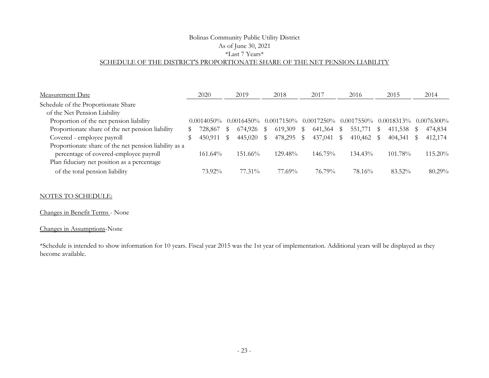## Bolinas Community Public Utility District As of June 30, 2021 \*Last 7 Years\* SCHEDULE OF THE DISTRICT'S PROPORTIONATE SHARE OF THE NET PENSION LIABILITY

| Measurement Date                                      |   | 2020          |    | 2019               |              | 2018                                      |              | 2017       | 2016          | 2015          | 2014          |
|-------------------------------------------------------|---|---------------|----|--------------------|--------------|-------------------------------------------|--------------|------------|---------------|---------------|---------------|
| Schedule of the Proportionate Share                   |   |               |    |                    |              |                                           |              |            |               |               |               |
| of the Net Pension Liability                          |   |               |    |                    |              |                                           |              |            |               |               |               |
| Proportion of the net pension liability               |   | $0.0014050\%$ |    |                    |              | $0.0016450\%$ $0.0017150\%$ $0.0017250\%$ |              |            | $0.0017550\%$ | $0.0018313\%$ | $0.0076300\%$ |
| Proportionate share of the net pension liability      | S | 728,867       | S  | 674,926            | S            | 619,309                                   | $\mathbb{S}$ | 641,364 \$ | 551,771 \$    | 411,538 \$    | 474,834       |
| Covered - employee payroll                            |   | 450,911       | \$ | 445,020            | $\mathbb{S}$ | 478,295 \$                                |              | 437,041 \$ | 410,462 \$    | 404,341 \$    | 412,174       |
| Proportionate share of the net pension liability as a |   |               |    |                    |              |                                           |              |            |               |               |               |
| percentage of covered-employee payroll                |   | $161.64\%$    |    | $151.66\%$         |              | $129.48\%$                                |              | $146.75\%$ | $134.43\%$    | 101.78%       | $115.20\%$    |
| Plan fiduciary net position as a percentage           |   |               |    |                    |              |                                           |              |            |               |               |               |
| of the total pension liability                        |   | 73.92%        |    | 77.31 <sup>%</sup> |              | 77.69%                                    |              | 76.79%     | 78.16%        | $83.52\%$     | $80.29\%$     |

#### NOTES TO SCHEDULE:

#### Changes in Benefit Terms - None

## Changes in Assumptions-None

\*Schedule is intended to show information for 10 years. Fiscal year 2015 was the 1st year of implementation. Additional years will be displayed as they become available.